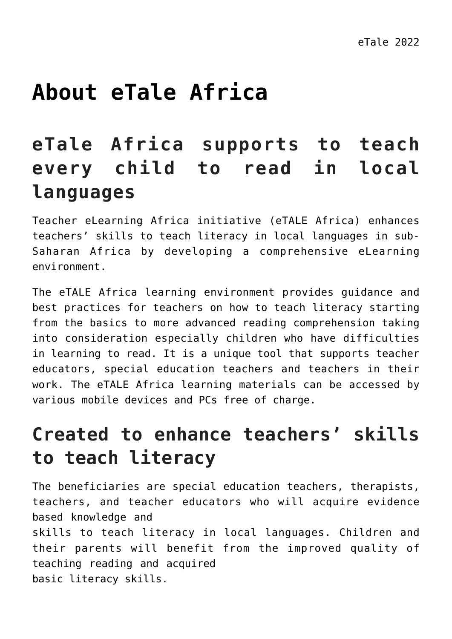# **[About eTale Africa](https://dev.taleafrica.com/about-us/)**

### **eTale Africa supports to teach every child to read in local languages**

Teacher eLearning Africa initiative (eTALE Africa) enhances teachers' skills to teach literacy in local languages in sub-Saharan Africa by developing a comprehensive eLearning environment.

The eTALE Africa learning environment provides guidance and best practices for teachers on how to teach literacy starting from the basics to more advanced reading comprehension taking into consideration especially children who have difficulties in learning to read. It is a unique tool that supports teacher educators, special education teachers and teachers in their work. The eTALE Africa learning materials can be accessed by various mobile devices and PCs free of charge.

### **Created to enhance teachers' skills to teach literacy**

The beneficiaries are special education teachers, therapists, teachers, and teacher educators who will acquire evidence based knowledge and skills to teach literacy in local languages. Children and their parents will benefit from the improved quality of teaching reading and acquired

basic literacy skills.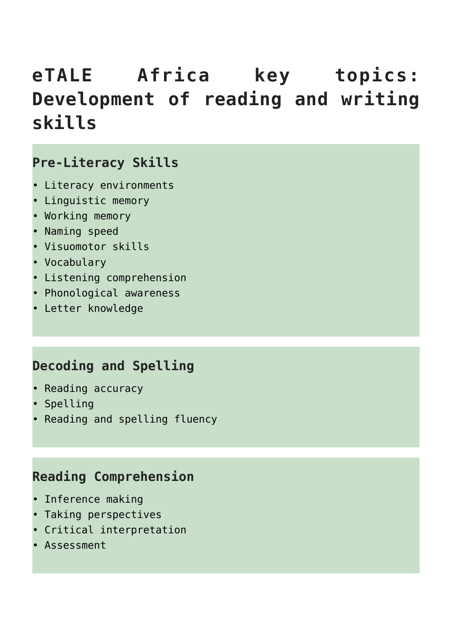# **eTALE Africa key topics: Development of reading and writing skills**

#### **Pre-Literacy Skills**

- Literacy environments
- Linguistic memory
- Working memory
- Naming speed
- Visuomotor skills
- Vocabulary
- Listening comprehension
- Phonological awareness
- Letter knowledge

#### **Decoding and Spelling**

- Reading accuracy
- Spelling
- Reading and spelling fluency

#### **Reading Comprehension**

- Inference making
- Taking perspectives
- Critical interpretation
- Assessment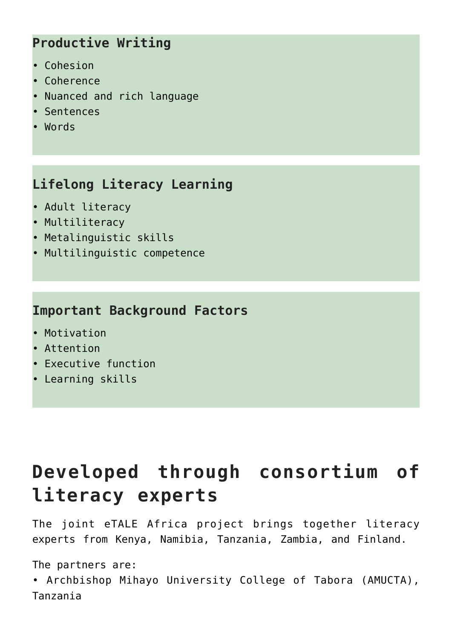#### **Productive Writing**

- Cohesion
- Coherence
- Nuanced and rich language
- Sentences
- Words

#### **Lifelong Literacy Learning**

- Adult literacy
- Multiliteracy
- Metalinguistic skills
- Multilinguistic competence

#### **Important Background Factors**

- Motivation
- Attention
- Executive function
- Learning skills

# **Developed through consortium of literacy experts**

The joint eTALE Africa project brings together literacy experts from Kenya, Namibia, Tanzania, Zambia, and Finland.

The partners are:

• Archbishop Mihayo University College of Tabora (AMUCTA), Tanzania